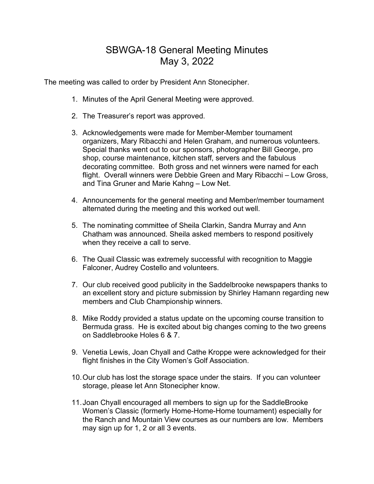## SBWGA-18 General Meeting Minutes May 3, 2022

The meeting was called to order by President Ann Stonecipher.

- 1. Minutes of the April General Meeting were approved.
- 2. The Treasurer's report was approved.
- 3. Acknowledgements were made for Member-Member tournament organizers, Mary Ribacchi and Helen Graham, and numerous volunteers. Special thanks went out to our sponsors, photographer Bill George, pro shop, course maintenance, kitchen staff, servers and the fabulous decorating committee. Both gross and net winners were named for each flight. Overall winners were Debbie Green and Mary Ribacchi – Low Gross, and Tina Gruner and Marie Kahng – Low Net.
- 4. Announcements for the general meeting and Member/member tournament alternated during the meeting and this worked out well.
- 5. The nominating committee of Sheila Clarkin, Sandra Murray and Ann Chatham was announced. Sheila asked members to respond positively when they receive a call to serve.
- 6. The Quail Classic was extremely successful with recognition to Maggie Falconer, Audrey Costello and volunteers.
- 7. Our club received good publicity in the Saddelbrooke newspapers thanks to an excellent story and picture submission by Shirley Hamann regarding new members and Club Championship winners.
- 8. Mike Roddy provided a status update on the upcoming course transition to Bermuda grass. He is excited about big changes coming to the two greens on Saddlebrooke Holes 6 & 7.
- 9. Venetia Lewis, Joan Chyall and Cathe Kroppe were acknowledged for their flight finishes in the City Women's Golf Association.
- 10.Our club has lost the storage space under the stairs. If you can volunteer storage, please let Ann Stonecipher know.
- 11.Joan Chyall encouraged all members to sign up for the SaddleBrooke Women's Classic (formerly Home-Home-Home tournament) especially for the Ranch and Mountain View courses as our numbers are low. Members may sign up for 1, 2 or all 3 events.